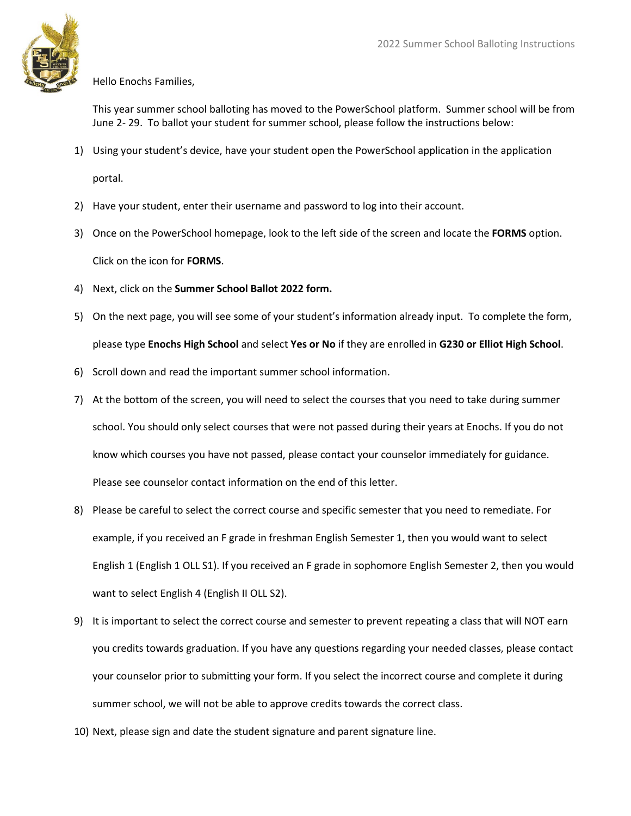

## Hello Enochs Families,

This year summer school balloting has moved to the PowerSchool platform. Summer school will be from June 2- 29. To ballot your student for summer school, please follow the instructions below:

- 1) Using your student's device, have your student open the PowerSchool application in the application portal.
- 2) Have your student, enter their username and password to log into their account.
- 3) Once on the PowerSchool homepage, look to the left side of the screen and locate the **FORMS** option. Click on the icon for **FORMS**.
- 4) Next, click on the **Summer School Ballot 2022 form.**
- 5) On the next page, you will see some of your student's information already input. To complete the form, please type **Enochs High School** and select **Yes or No** if they are enrolled in **G230 or Elliot High School**.
- 6) Scroll down and read the important summer school information.
- 7) At the bottom of the screen, you will need to select the courses that you need to take during summer school. You should only select courses that were not passed during their years at Enochs. If you do not know which courses you have not passed, please contact your counselor immediately for guidance. Please see counselor contact information on the end of this letter.
- 8) Please be careful to select the correct course and specific semester that you need to remediate. For example, if you received an F grade in freshman English Semester 1, then you would want to select English 1 (English 1 OLL S1). If you received an F grade in sophomore English Semester 2, then you would want to select English 4 (English II OLL S2).
- 9) It is important to select the correct course and semester to prevent repeating a class that will NOT earn you credits towards graduation. If you have any questions regarding your needed classes, please contact your counselor prior to submitting your form. If you select the incorrect course and complete it during summer school, we will not be able to approve credits towards the correct class.
- 10) Next, please sign and date the student signature and parent signature line.